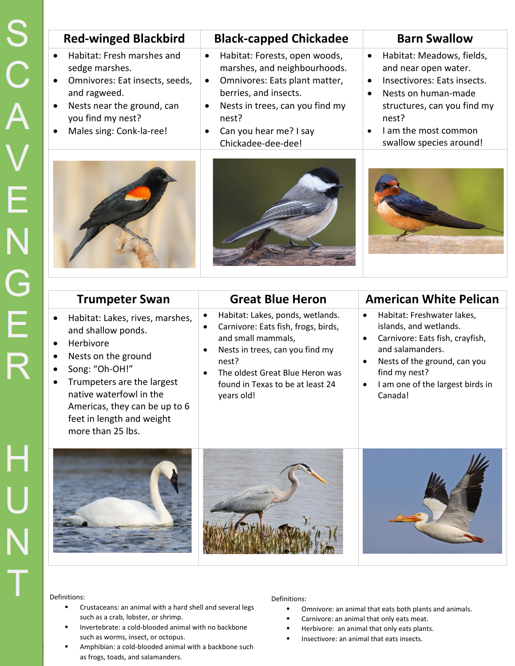| <b>Red-winged Blackbird</b>                                                                                                                                                                                                                        | <b>Black-capped Chickadee</b>                                                                                                                                                                                                                                           | <b>Barn Swallow</b>                                                                                                                                                                                                                                    |
|----------------------------------------------------------------------------------------------------------------------------------------------------------------------------------------------------------------------------------------------------|-------------------------------------------------------------------------------------------------------------------------------------------------------------------------------------------------------------------------------------------------------------------------|--------------------------------------------------------------------------------------------------------------------------------------------------------------------------------------------------------------------------------------------------------|
| Habitat: Fresh marshes and<br>sedge marshes.<br>Omnivores: Eat insects, seeds,<br>$\bullet$<br>and ragweed.<br>Nests near the ground, can<br>$\bullet$<br>you find my nest?<br>Males sing: Conk-la-ree!<br>$\bullet$                               | Habitat: Forests, open woods,<br>$\bullet$<br>marshes, and neighbourhoods.<br>Omnivores: Eats plant matter,<br>$\bullet$<br>berries, and insects.<br>Nests in trees, can you find my<br>$\bullet$<br>nest?<br>Can you hear me? I say<br>$\bullet$<br>Chickadee-dee-dee! | Habitat: Meadows, fields,<br>$\bullet$<br>and near open water.<br>Insectivores: Eats insects.<br>$\bullet$<br>Nests on human-made<br>$\bullet$<br>structures, can you find my<br>nest?<br>I am the most common<br>$\bullet$<br>swallow species around! |
|                                                                                                                                                                                                                                                    |                                                                                                                                                                                                                                                                         |                                                                                                                                                                                                                                                        |
| <b>Trumpeter Swan</b>                                                                                                                                                                                                                              | <b>Great Blue Heron</b>                                                                                                                                                                                                                                                 | <b>American White Pelican</b>                                                                                                                                                                                                                          |
| Habitat: Lakes, rives, marshes,<br>$\bullet$<br>and shallow ponds.                                                                                                                                                                                 | Habitat: Lakes, ponds, wetlands.<br>$\bullet$<br>Carnivore: Eats fish, frogs, birds,<br>$\bullet$                                                                                                                                                                       | Habitat: Freshwater lakes,<br>$\bullet$<br>islands, and wetlands.                                                                                                                                                                                      |
| Herbivore<br>$\bullet$<br>Nests on the ground<br>$\bullet$<br>Song: "Oh-OH!"<br>$\bullet$<br>Trumpeters are the largest<br>$\bullet$<br>native waterfowl in the<br>Americas, they can be up to 6<br>feet in length and weight<br>more than 25 lbs. | and small mammals,<br>Nests in trees, can you find my<br>$\bullet$<br>nest?<br>The oldest Great Blue Heron was<br>$\bullet$<br>found in Texas to be at least 24<br>years old!                                                                                           | Carnivore: Eats fish, crayfish,<br>and salamanders.<br>Nests of the ground, can you<br>$\bullet$<br>find my nest?<br>I am one of the largest birds in<br>Canada!                                                                                       |

Definitions:

- Crustaceans: an animal with a hard shell and several legs such as a crab, lobster, or shrimp.
- **Invertebrate: a cold-blooded animal with no backbone** such as worms, insect, or octopus.
- **Example Amphibian: a cold-blooded animal with a backbone such a such a such a such** as frogs, toads, and salamanders.

Definitions:

- **•** Omnivore: an animal that eats both plants and animals.
	- **Carnivore: an animal that only eats meat.**
	- **Herbivore: an animal that only eats plants.**
	- Insectivore: an animal that eats insects.